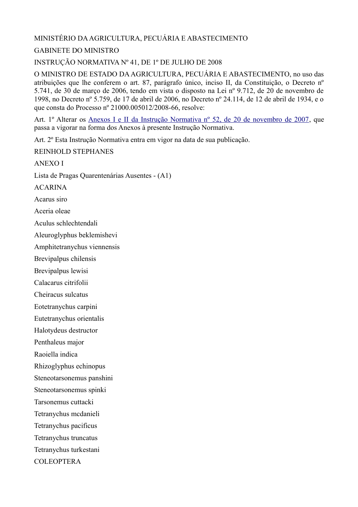### MINISTÉRIO DA AGRICULTURA, PECUÁRIA E ABASTECIMENTO

#### GABINETE DO MINISTRO

INSTRUÇÃO NORMATIVA Nº 41, DE 1º DE JULHO DE 2008

O MINISTRO DE ESTADO DA AGRICULTURA, PECUÁRIA E ABASTECIMENTO, no uso das atribuições que lhe conferem o art. 87, parágrafo único, inciso II, da Constituição, o Decreto nº 5.741, de 30 de março de 2006, tendo em vista o disposto na Lei nº 9.712, de 20 de novembro de 1998, no Decreto nº 5.759, de 17 de abril de 2006, no Decreto nº 24.114, de 12 de abril de 1934, e o que consta do Processo nº 21000.005012/2008-66, resolve:

Art. 1º Alterar os [Anexos I e II da Instrução Normativa nº 52, de 20 de novembro de 2007,](javascript:LinkTexto() que passa a vigorar na forma dos Anexos à presente Instrução Normativa.

Art. 2º Esta Instrução Normativa entra em vigor na data de sua publicação.

REINHOLD STEPHANES

ANEXO I

Lista de Pragas Quarentenárias Ausentes - (A1)

ACARINA

Acarus siro

Aceria oleae

Aculus schlechtendali

Aleuroglyphus beklemishevi

Amphitetranychus viennensis

Brevipalpus chilensis

Brevipalpus lewisi

Calacarus citrifolii

Cheiracus sulcatus

Eotetranychus carpini

Eutetranychus orientalis

Halotydeus destructor

Penthaleus major

Raoiella indica

Rhizoglyphus echinopus

Steneotarsonemus panshini

Steneotarsonemus spinki

Tarsonemus cuttacki

Tetranychus mcdanieli

Tetranychus pacificus

Tetranychus truncatus

Tetranychus turkestani

COLEOPTERA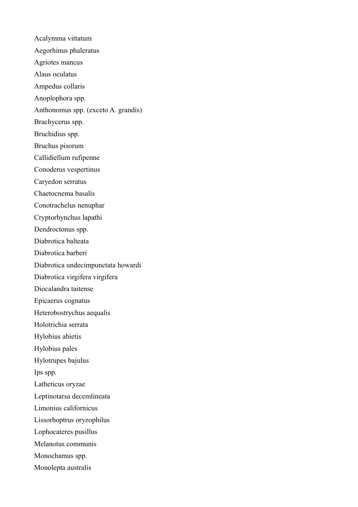Acalymma vittatum Aegorhinus phaleratus Agriotes mancus Alaus oculatus Ampedus collaris Anoplophora spp. Anthonomus spp. (exceto A. grandis) Brachycerus spp. Bruchidius spp. Bruchus pisorum Callidiellum rufipenne Conoderus vespertinus Caryedon serratus Chaetocnema basalis Conotrachelus nenuphar Cryptorhynchus lapathi Dendroctonus spp. Diabrotica balteata Diabrotica barberi Diabrotica undecimpunctata howardi Diabrotica virgifera virgifera Diocalandra taitense Epicaerus cognatus Heterobostrychus aequalis Holotrichia serrata Hylobius abietis Hylobius pales Hylotrupes bajulus Ips spp. Latheticus oryzae Leptinotarsa decemlineata Limonius californicus Lissorhoptrus oryzophilus Lophocateres pusillus Melanotus communis Monochamus spp. Monolepta australis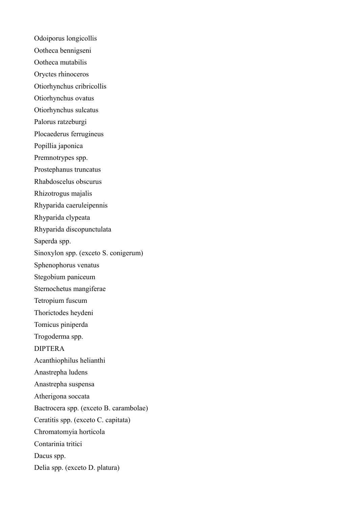Odoiporus longicollis Ootheca bennigseni Ootheca mutabilis Oryctes rhinoceros Otiorhynchus cribricollis Otiorhynchus ovatus Otiorhynchus sulcatus Palorus ratzeburgi Plocaederus ferrugineus Popillia japonica Premnotrypes spp. Prostephanus truncatus Rhabdoscelus obscurus Rhizotrogus majalis Rhyparida caeruleipennis Rhyparida clypeata Rhyparida discopunctulata Saperda spp. Sinoxylon spp. (exceto S. conigerum) Sphenophorus venatus Stegobium paniceum Sternochetus mangiferae Tetropium fuscum Thorictodes heydeni Tomicus piniperda Trogoderma spp. DIPTERA Acanthiophilus helianthi Anastrepha ludens Anastrepha suspensa Atherigona soccata Bactrocera spp. (exceto B. carambolae) Ceratitis spp. (exceto C. capitata) Chromatomyia horticola Contarinia tritici Dacus spp. Delia spp. (exceto D. platura)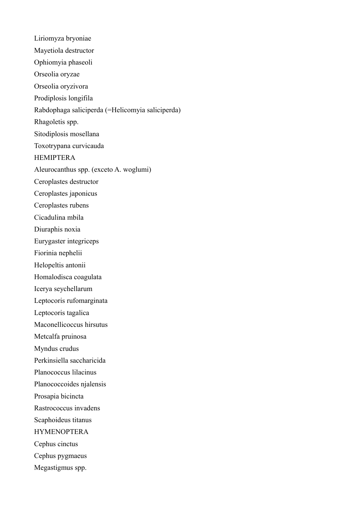Liriomyza bryoniae Mayetiola destructor Ophiomyia phaseoli Orseolia oryzae Orseolia oryzivora Prodiplosis longifila Rabdophaga saliciperda (=Helicomyia saliciperda) Rhagoletis spp. Sitodiplosis mosellana Toxotrypana curvicauda HEMIPTERA Aleurocanthus spp. (exceto A. woglumi) Ceroplastes destructor Ceroplastes japonicus Ceroplastes rubens Cicadulina mbila Diuraphis noxia Eurygaster integriceps Fiorinia nephelii Helopeltis antonii Homalodisca coagulata Icerya seychellarum Leptocoris rufomarginata Leptocoris tagalica Maconellicoccus hirsutus Metcalfa pruinosa Myndus crudus Perkinsiella saccharicida Planococcus lilacinus Planococcoides njalensis Prosapia bicincta Rastrococcus invadens Scaphoideus titanus **HYMENOPTERA** Cephus cinctus Cephus pygmaeus Megastigmus spp.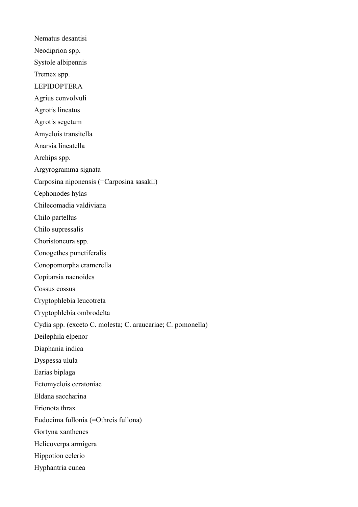Nematus desantisi Neodiprion spp. Systole albipennis Tremex spp. LEPIDOPTERA Agrius convolvuli Agrotis lineatus Agrotis segetum Amyelois transitella Anarsia lineatella Archips spp. Argyrogramma signata Carposina niponensis (=Carposina sasakii) Cephonodes hylas Chilecomadia valdiviana Chilo partellus Chilo supressalis Choristoneura spp. Conogethes punctiferalis Conopomorpha cramerella Copitarsia naenoides Cossus cossus Cryptophlebia leucotreta Cryptophlebia ombrodelta Cydia spp. (exceto C. molesta; C. araucariae; C. pomonella) Deilephila elpenor Diaphania indica Dyspessa ulula Earias biplaga Ectomyelois ceratoniae Eldana saccharina Erionota thrax Eudocima fullonia (=Othreis fullona) Gortyna xanthenes Helicoverpa armigera Hippotion celerio Hyphantria cunea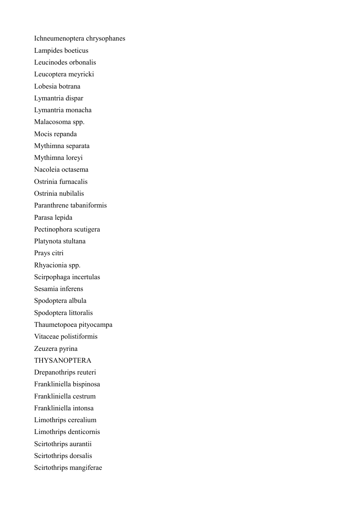Ichneumenoptera chrysophanes Lampides boeticus Leucinodes orbonalis Leucoptera meyricki Lobesia botrana Lymantria dispar Lymantria monacha Malacosoma spp. Mocis repanda Mythimna separata Mythimna loreyi Nacoleia octasema Ostrinia furnacalis Ostrinia nubilalis Paranthrene tabaniformis Parasa lepida Pectinophora scutigera Platynota stultana Prays citri Rhyacionia spp. Scirpophaga incertulas Sesamia inferens Spodoptera albula Spodoptera littoralis Thaumetopoea pityocampa Vitaceae polistiformis Zeuzera pyrina THYSANOPTERA Drepanothrips reuteri Frankliniella bispinosa Frankliniella cestrum Frankliniella intonsa Limothrips cerealium Limothrips denticornis Scirtothrips aurantii Scirtothrips dorsalis Scirtothrips mangiferae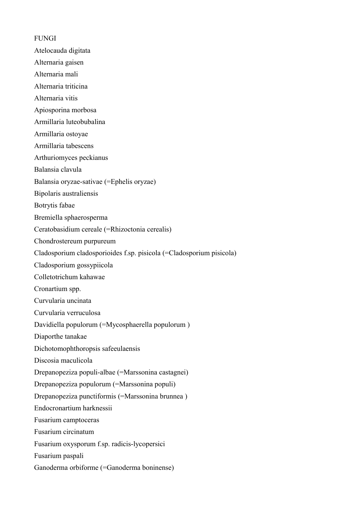FUNGI Atelocauda digitata Alternaria gaisen Alternaria mali Alternaria triticina Alternaria vitis Apiosporina morbosa Armillaria luteobubalina Armillaria ostoyae Armillaria tabescens Arthuriomyces peckianus Balansia clavula Balansia oryzae-sativae (=Ephelis oryzae) Bipolaris australiensis Botrytis fabae Bremiella sphaerosperma Ceratobasidium cereale (=Rhizoctonia cerealis) Chondrostereum purpureum Cladosporium cladosporioides f.sp. pisicola (=Cladosporium pisicola) Cladosporium gossypiicola Colletotrichum kahawae Cronartium spp. Curvularia uncinata Curvularia verruculosa Davidiella populorum (=Mycosphaerella populorum ) Diaporthe tanakae Dichotomophthoropsis safeeulaensis Discosia maculicola Drepanopeziza populi-albae (=Marssonina castagnei) Drepanopeziza populorum (=Marssonina populi) Drepanopeziza punctiformis (=Marssonina brunnea ) Endocronartium harknessii Fusarium camptoceras Fusarium circinatum Fusarium oxysporum f.sp. radicis-lycopersici Fusarium paspali Ganoderma orbiforme (=Ganoderma boninense)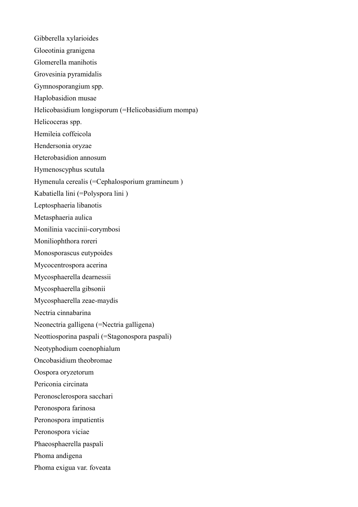Gibberella xylarioides Gloeotinia granigena Glomerella manihotis Grovesinia pyramidalis Gymnosporangium spp. Haplobasidion musae Helicobasidium longisporum (=Helicobasidium mompa) Helicoceras spp. Hemileia coffeicola Hendersonia oryzae Heterobasidion annosum Hymenoscyphus scutula Hymenula cerealis (=Cephalosporium gramineum ) Kabatiella lini (=Polyspora lini ) Leptosphaeria libanotis Metasphaeria aulica Monilinia vaccinii-corymbosi Moniliophthora roreri Monosporascus eutypoides Mycocentrospora acerina Mycosphaerella dearnessii Mycosphaerella gibsonii Mycosphaerella zeae-maydis Nectria cinnabarina Neonectria galligena (=Nectria galligena) Neottiosporina paspali (=Stagonospora paspali) Neotyphodium coenophialum Oncobasidium theobromae Oospora oryzetorum Periconia circinata Peronosclerospora sacchari Peronospora farinosa Peronospora impatientis Peronospora viciae Phaeosphaerella paspali Phoma andigena Phoma exigua var. foveata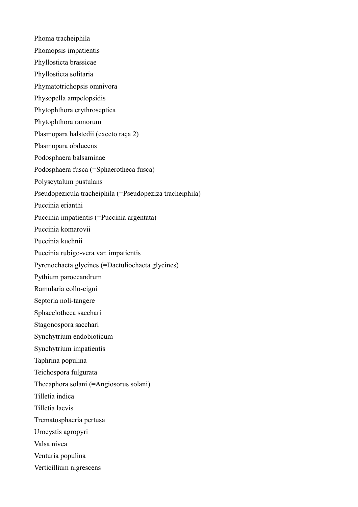Phoma tracheiphila Phomopsis impatientis Phyllosticta brassicae Phyllosticta solitaria Phymatotrichopsis omnivora Physopella ampelopsidis Phytophthora erythroseptica Phytophthora ramorum Plasmopara halstedii (exceto raça 2) Plasmopara obducens Podosphaera balsaminae Podosphaera fusca (=Sphaerotheca fusca) Polyscytalum pustulans Pseudopezicula tracheiphila (=Pseudopeziza tracheiphila) Puccinia erianthi Puccinia impatientis (=Puccinia argentata) Puccinia komarovii Puccinia kuehnii Puccinia rubigo-vera var. impatientis Pyrenochaeta glycines (=Dactuliochaeta glycines) Pythium paroecandrum Ramularia collo-cigni Septoria noli-tangere Sphacelotheca sacchari Stagonospora sacchari Synchytrium endobioticum Synchytrium impatientis Taphrina populina Teichospora fulgurata Thecaphora solani (=Angiosorus solani) Tilletia indica Tilletia laevis Trematosphaeria pertusa Urocystis agropyri Valsa nivea Venturia populina Verticillium nigrescens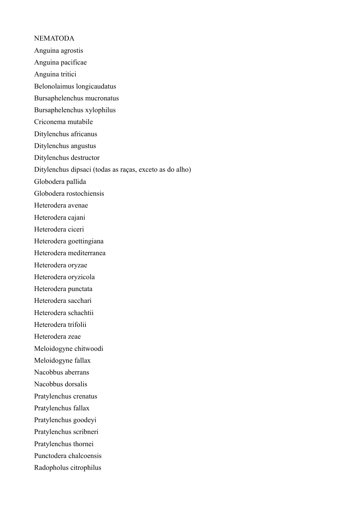# NEMATODA Anguina agrostis Anguina pacificae Anguina tritici Belonolaimus longicaudatus Bursaphelenchus mucronatus Bursaphelenchus xylophilus Criconema mutabile Ditylenchus africanus Ditylenchus angustus Ditylenchus destructor Ditylenchus dipsaci (todas as raças, exceto as do alho) Globodera pallida Globodera rostochiensis Heterodera avenae Heterodera cajani Heterodera ciceri Heterodera goettingiana Heterodera mediterranea Heterodera oryzae Heterodera oryzicola Heterodera punctata Heterodera sacchari Heterodera schachtii Heterodera trifolii Heterodera zeae Meloidogyne chitwoodi Meloidogyne fallax Nacobbus aberrans Nacobbus dorsalis Pratylenchus crenatus Pratylenchus fallax Pratylenchus goodeyi

Pratylenchus scribneri

Pratylenchus thornei

Punctodera chalcoensis

Radopholus citrophilus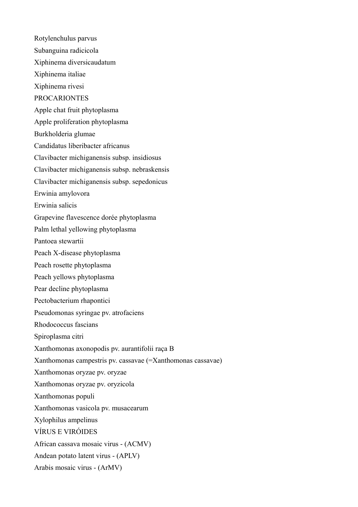Rotylenchulus parvus Subanguina radicicola Xiphinema diversicaudatum Xiphinema italiae Xiphinema rivesi PROCARIONTES Apple chat fruit phytoplasma Apple proliferation phytoplasma Burkholderia glumae Candidatus liberibacter africanus Clavibacter michiganensis subsp. insidiosus Clavibacter michiganensis subsp. nebraskensis Clavibacter michiganensis subsp. sepedonicus Erwinia amylovora Erwinia salicis Grapevine flavescence dorée phytoplasma Palm lethal yellowing phytoplasma Pantoea stewartii Peach X-disease phytoplasma Peach rosette phytoplasma Peach yellows phytoplasma Pear decline phytoplasma Pectobacterium rhapontici Pseudomonas syringae pv. atrofaciens Rhodococcus fascians Spiroplasma citri Xanthomonas axonopodis pv. aurantifolii raça B Xanthomonas campestris pv. cassavae (=Xanthomonas cassavae) Xanthomonas oryzae pv. oryzae Xanthomonas oryzae pv. oryzicola Xanthomonas populi Xanthomonas vasicola pv. musacearum Xylophilus ampelinus VÍRUS E VIRÓIDES African cassava mosaic virus - (ACMV) Andean potato latent virus - (APLV) Arabis mosaic virus - (ArMV)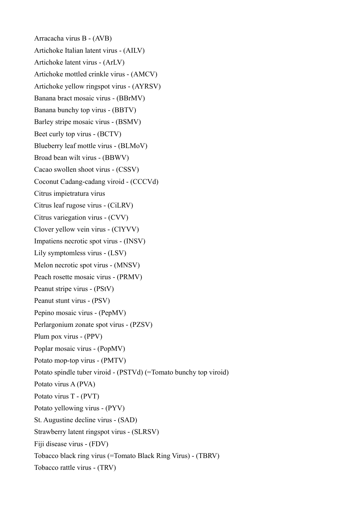Arracacha virus B - (AVB) Artichoke Italian latent virus - (AILV) Artichoke latent virus - (ArLV) Artichoke mottled crinkle virus - (AMCV) Artichoke yellow ringspot virus - (AYRSV) Banana bract mosaic virus - (BBrMV) Banana bunchy top virus - (BBTV) Barley stripe mosaic virus - (BSMV) Beet curly top virus - (BCTV) Blueberry leaf mottle virus - (BLMoV) Broad bean wilt virus - (BBWV) Cacao swollen shoot virus - (CSSV) Coconut Cadang-cadang viroid - (CCCVd) Citrus impietratura virus Citrus leaf rugose virus - (CiLRV) Citrus variegation virus - (CVV) Clover yellow vein virus - (ClYVV) Impatiens necrotic spot virus - (INSV) Lily symptomless virus - (LSV) Melon necrotic spot virus - (MNSV) Peach rosette mosaic virus - (PRMV) Peanut stripe virus - (PStV) Peanut stunt virus - (PSV) Pepino mosaic virus - (PepMV) Perlargonium zonate spot virus - (PZSV) Plum pox virus - (PPV) Poplar mosaic virus - (PopMV) Potato mop-top virus - (PMTV) Potato spindle tuber viroid - (PSTVd) (=Tomato bunchy top viroid) Potato virus A (PVA) Potato virus T - (PVT) Potato yellowing virus - (PYV) St. Augustine decline virus - (SAD) Strawberry latent ringspot virus - (SLRSV) Fiji disease virus - (FDV) Tobacco black ring virus (=Tomato Black Ring Virus) - (TBRV) Tobacco rattle virus - (TRV)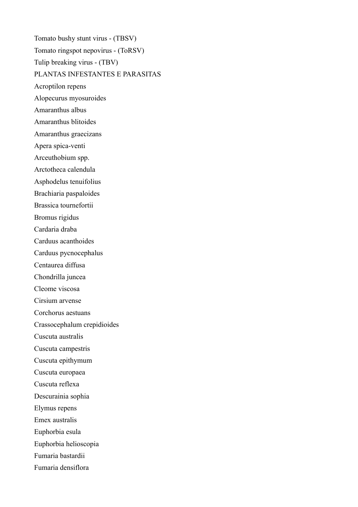Tomato bushy stunt virus - (TBSV) Tomato ringspot nepovirus - (ToRSV) Tulip breaking virus - (TBV) PLANTAS INFESTANTES E PARASITAS Acroptilon repens Alopecurus myosuroides Amaranthus albus Amaranthus blitoides Amaranthus graecizans Apera spica-venti Arceuthobium spp. Arctotheca calendula Asphodelus tenuifolius Brachiaria paspaloides Brassica tournefortii Bromus rigidus Cardaria draba Carduus acanthoides Carduus pycnocephalus Centaurea diffusa Chondrilla juncea Cleome viscosa Cirsium arvense Corchorus aestuans Crassocephalum crepidioides Cuscuta australis Cuscuta campestris Cuscuta epithymum Cuscuta europaea Cuscuta reflexa Descurainia sophia Elymus repens Emex australis Euphorbia esula Euphorbia helioscopia Fumaria bastardii Fumaria densiflora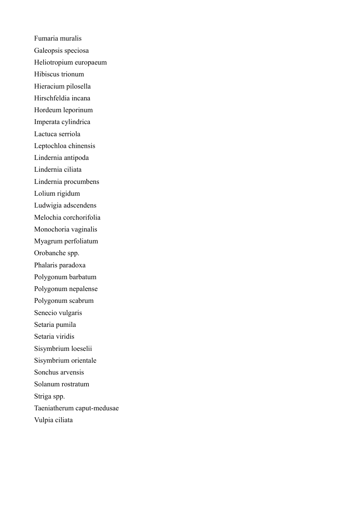Fumaria muralis Galeopsis speciosa Heliotropium europaeum Hibiscus trionum Hieracium pilosella Hirschfeldia incana Hordeum leporinum Imperata cylindrica Lactuca serriola Leptochloa chinensis Lindernia antipoda Lindernia ciliata Lindernia procumbens Lolium rigidum Ludwigia adscendens Melochia corchorifolia Monochoria vaginalis Myagrum perfoliatum Orobanche spp. Phalaris paradoxa Polygonum barbatum Polygonum nepalense Polygonum scabrum Senecio vulgaris Setaria pumila Setaria viridis Sisymbrium loeselii Sisymbrium orientale Sonchus arvensis Solanum rostratum Striga spp. Taeniatherum caput-medusae Vulpia ciliata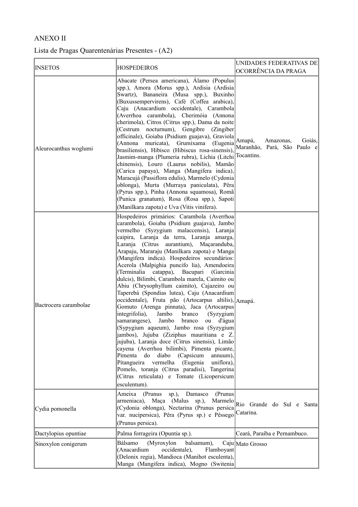## ANEXO II

## Lista de Pragas Quarentenárias Presentes - (A2)

| <b>INSETOS</b>        | <b>HOSPEDEIROS</b>                                                                                                                                                                                                                                                                                                                                                                                                                                                                                                                                                                                                                                                                                                                                                                                                                                                                                                                                                                                                                                                                                                                                                                       | UNIDADES FEDERATIVAS DE                                      |
|-----------------------|------------------------------------------------------------------------------------------------------------------------------------------------------------------------------------------------------------------------------------------------------------------------------------------------------------------------------------------------------------------------------------------------------------------------------------------------------------------------------------------------------------------------------------------------------------------------------------------------------------------------------------------------------------------------------------------------------------------------------------------------------------------------------------------------------------------------------------------------------------------------------------------------------------------------------------------------------------------------------------------------------------------------------------------------------------------------------------------------------------------------------------------------------------------------------------------|--------------------------------------------------------------|
|                       |                                                                                                                                                                                                                                                                                                                                                                                                                                                                                                                                                                                                                                                                                                                                                                                                                                                                                                                                                                                                                                                                                                                                                                                          | OCORRÊNCIA DA PRAGA                                          |
| Aleurocanthus woglumi | Abacate (Persea americana), Álamo (Populus<br>spp.), Amora (Morus spp.), Ardisia (Ardisia<br>Swartz), Bananeira (Musa spp.), Buxinho<br>(Buxussempervirens), Café (Coffea arabica),<br>Caju (Anacardium occidentale), Carambola<br>(Averrhoa carambola), Cherimóia (Annona<br>cherimola), Citros (Citrus spp.), Dama da noite<br>(Cestrum nocturnum), Gengibre (Zingiber<br>officinale), Goiaba (Psidium guajava), Graviola<br>(Annona muricata), Grumixama<br>(Eugenia)<br>brasiliensis), Hibisco (Hibiscus rosa-sinensis),<br>Jasmim-manga (Plumeria rubra), Lichia (Litchi <sup> Tocantins.</sup><br>chinensis), Louro (Laurus nobilis), Mamão<br>(Carica papaya), Manga (Mangifera indica),<br>Maracujá (Passiflora edulis), Marmelo (Cydonia<br>oblonga), Murta (Murraya paniculata), Pêra<br>(Pyrus spp.), Pinha (Annona squamosa), Romã<br>(Punica granatum), Rosa (Rosa spp.), Sapoti<br>(Manilkara zapota) e Uva (Vitis vinifera).                                                                                                                                                                                                                                              | Goiás,<br>Amapá,<br>Amazonas,<br>Maranhão, Pará, São Paulo e |
| Bactrocera carambolae | Hospedeiros primários: Carambola (Averrhoa<br>carambola), Goiaba (Psidium guajava), Jambo<br>vermelho (Syzygium malaccensis), Laranja<br>caipira, Laranja da terra, Laranja amarga,<br>Laranja (Citrus aurantium), Maçaranduba,<br>Arapaju, Mararaju (Manilkara zapota) e Manga<br>(Mangifera indica). Hospedeiros secundários:<br>Acerola (Malpighia puncifo lia), Amendoeira<br>(Terminalia catappa), Bacupari (Garcinia)<br>dulcis), Bilimbi, Carambola marela, Caimito ou<br>Abiu (Chrysophyllum caimito), Cajazeiro ou<br>Taperebá (Spondias lutea), Caju (Anacardium<br>occidentale), Fruta pão (Artocarpus altilis), Amapá.<br>Gomuto (Arenga pinnata), Jaca (Artocarpus<br>integrifolia),<br>Jambo<br>branco<br>(Syzygium<br>samarangese),<br>Jambo<br>ou d'água<br>branco<br>(Sypygium aqueum), Jambo rosa (Syzygium<br>jambos), Jujuba (Ziziphus mauritiana e Z.<br>jujuba), Laranja doce (Citrus sinensis), Limão<br>cayena (Averrhoa bilimbi), Pimenta picante,<br>Pimenta do diabo<br>(Capsicum<br>annuum),<br>Pitangueira vermelha<br>(Eugenia<br>uniflora),<br>Pomelo, toranja (Citrus paradisi), Tangerina<br>(Citrus reticulata) e Tomate (Licopersicum<br>esculentum). |                                                              |
| Cydia pomonella       | Ameixa<br>(Prunus<br>(Prunus)<br>$sp.$ ),<br>Damasco<br>armeniaca), Maça (Malus sp.),<br>(Cydonia oblonga), Nectarina (Prunus persica<br>var. nucipersica), Pêra (Pyrus sp.) e Pêssego<br>(Prunus persica).                                                                                                                                                                                                                                                                                                                                                                                                                                                                                                                                                                                                                                                                                                                                                                                                                                                                                                                                                                              | Marmelo Rio Grande do Sul e Santa<br>Catarina.               |
| Dactylopius opuntiae  | Palma forrageira (Opuntia sp.).                                                                                                                                                                                                                                                                                                                                                                                                                                                                                                                                                                                                                                                                                                                                                                                                                                                                                                                                                                                                                                                                                                                                                          | Ceará, Paraíba e Pernambuco.                                 |
| Sinoxylon conigerum   | (Myroxylon<br>Bálsamo<br>balsamum),<br>occidentale),<br>(Anacardium<br>Flamboyant<br>(Delonix regia), Mandioca (Manihot esculenta),<br>Manga (Mangifera indica), Mogno (Switenia)                                                                                                                                                                                                                                                                                                                                                                                                                                                                                                                                                                                                                                                                                                                                                                                                                                                                                                                                                                                                        | Caju Mato Grosso                                             |